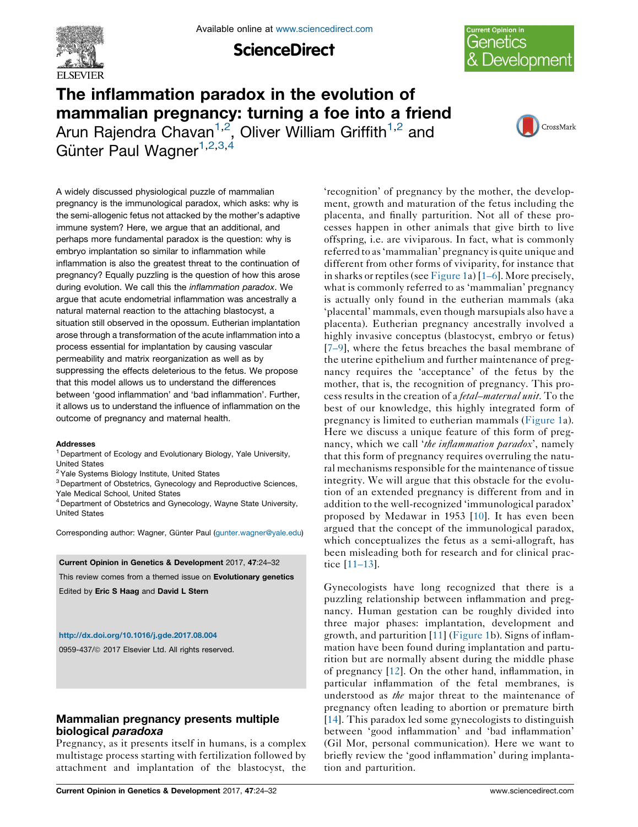

**ScienceDirect** 



# The inflammation paradox in the evolution of mammalian pregnancy: turning a foe into a friend

Arun Rajendra Chavan $^{1,2}$ , Oliver William Griffith $^{1,2}$  and Günter Paul Wagner<sup>1,2,3,4</sup>



A widely discussed physiological puzzle of mammalian pregnancy is the immunological paradox, which asks: why is the semi-allogenic fetus not attacked by the mother's adaptive immune system? Here, we argue that an additional, and perhaps more fundamental paradox is the question: why is embryo implantation so similar to inflammation while inflammation is also the greatest threat to the continuation of pregnancy? Equally puzzling is the question of how this arose during evolution. We call this the inflammation paradox. We argue that acute endometrial inflammation was ancestrally a natural maternal reaction to the attaching blastocyst, a situation still observed in the opossum. Eutherian implantation arose through a transformation of the acute inflammation into a process essential for implantation by causing vascular permeability and matrix reorganization as well as by suppressing the effects deleterious to the fetus. We propose that this model allows us to understand the differences between 'good inflammation' and 'bad inflammation'. Further, it allows us to understand the influence of inflammation on the outcome of pregnancy and maternal health.

## Addresses

<sup>1</sup> Department of Ecology and Evolutionary Biology, Yale University, United States

<sup>2</sup> Yale Systems Biology Institute, United States

<sup>3</sup> Department of Obstetrics, Gynecology and Reproductive Sciences, Yale Medical School, United States

<sup>4</sup> Department of Obstetrics and Gynecology, Wayne State University, United States

Corresponding author: Wagner, Günter Paul [\(gunter.wagner@yale.edu\)](mailto:gunter.wagner@yale.edu)

Current Opinion in Genetics & Development 2017, 47:24–32

This review comes from a themed issue on Evolutionary genetics

Edited by Eric S Haag and David L Stern

## <http://dx.doi.org/10.1016/j.gde.2017.08.004>

0959-437/@ 2017 Elsevier Ltd. All rights reserved.

# Mammalian pregnancy presents multiple biological paradoxa

Pregnancy, as it presents itself in humans, is a complex multistage process starting with fertilization followed by attachment and implantation of the blastocyst, the

'recognition' of pregnancy by the mother, the development, growth and maturation of the fetus including the placenta, and finally parturition. Not all of these processes happen in other animals that give birth to live offspring, i.e. are viviparous. In fact, what is commonly referred to as'mammalian' pregnancy is quite unique and different from other forms of viviparity, for instance that in sharks or reptiles(see [Figure](#page-1-0) 1a) [\[1–6\]](#page-6-0). More precisely, what is commonly referred to as 'mammalian' pregnancy is actually only found in the eutherian mammals (aka 'placental' mammals, even though marsupials also have a placenta). Eutherian pregnancy ancestrally involved a highly invasive conceptus (blastocyst, embryo or fetus) [[7–9\]](#page-6-0), where the fetus breaches the basal membrane of the uterine epithelium and further maintenance of pregnancy requires the 'acceptance' of the fetus by the mother, that is, the recognition of pregnancy. This process results in the creation of a fetal–maternal unit. To the best of our knowledge, this highly integrated form of pregnancy is limited to eutherian mammals [\(Figure](#page-1-0) 1a). Here we discuss a unique feature of this form of pregnancy, which we call 'the inflammation paradox', namely that this form of pregnancy requires overruling the natural mechanisms responsible for the maintenance of tissue integrity. We will argue that this obstacle for the evolution of an extended pregnancy is different from and in addition to the well-recognized 'immunological paradox' proposed by Medawar in 1953 [[10\]](#page-6-0). It has even been argued that the concept of the immunological paradox, which conceptualizes the fetus as a semi-allograft, has been misleading both for research and for clinical practice [[11–13\]](#page-6-0).

Gynecologists have long recognized that there is a puzzling relationship between inflammation and pregnancy. Human gestation can be roughly divided into three major phases: implantation, development and growth, and parturition [[11\]](#page-6-0) ([Figure](#page-1-0) 1b). Signs of inflammation have been found during implantation and parturition but are normally absent during the middle phase of pregnancy [[12](#page-6-0)]. On the other hand, inflammation, in particular inflammation of the fetal membranes, is understood as *the* major threat to the maintenance of pregnancy often leading to abortion or premature birth [[14\]](#page-6-0). This paradox led some gynecologists to distinguish between 'good inflammation' and 'bad inflammation' (Gil Mor, personal communication). Here we want to briefly review the 'good inflammation' during implantation and parturition.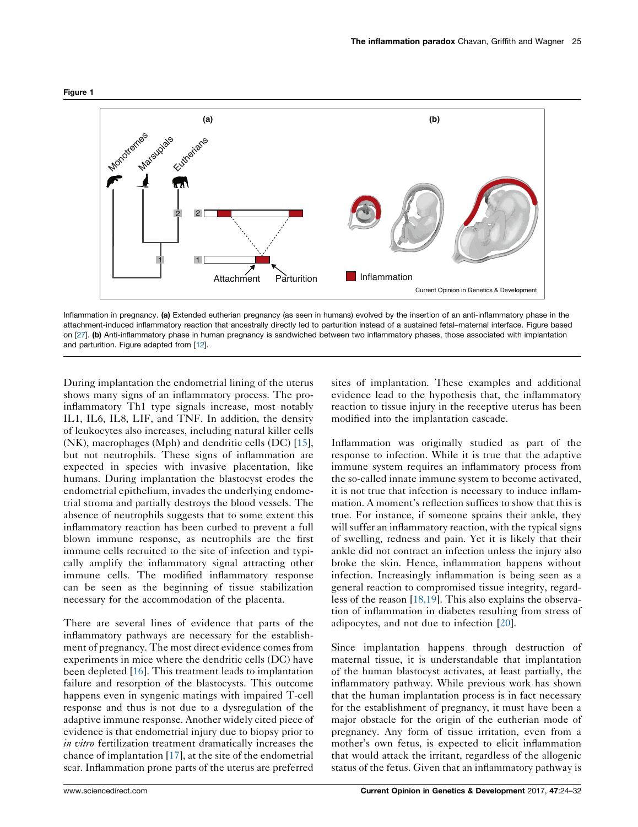

Inflammation in pregnancy. (a) Extended eutherian pregnancy (as seen in humans) evolved by the insertion of an anti-inflammatory phase in the attachment-induced inflammatory reaction that ancestrally directly led to parturition instead of a sustained fetal–maternal interface. Figure based on [[27](#page-6-0)]. (b) Anti-inflammatory phase in human pregnancy is sandwiched between two inflammatory phases, those associated with implantation and parturition. Figure adapted from [\[12](#page-6-0)].

During implantation the endometrial lining of the uterus shows many signs of an inflammatory process. The proinflammatory Th1 type signals increase, most notably IL1, IL6, IL8, LIF, and TNF. In addition, the density of leukocytes also increases, including natural killer cells (NK), macrophages (Mph) and dendritic cells (DC) [\[15](#page-6-0)], but not neutrophils. These signs of inflammation are expected in species with invasive placentation, like humans. During implantation the blastocyst erodes the endometrial epithelium, invades the underlying endometrial stroma and partially destroys the blood vessels. The absence of neutrophils suggests that to some extent this inflammatory reaction has been curbed to prevent a full blown immune response, as neutrophils are the first immune cells recruited to the site of infection and typically amplify the inflammatory signal attracting other immune cells. The modified inflammatory response can be seen as the beginning of tissue stabilization necessary for the accommodation of the placenta.

There are several lines of evidence that parts of the inflammatory pathways are necessary for the establishment of pregnancy. The most direct evidence comes from experiments in mice where the dendritic cells (DC) have been depleted [[16\]](#page-6-0). This treatment leads to implantation failure and resorption of the blastocysts. This outcome happens even in syngenic matings with impaired T-cell response and thus is not due to a dysregulation of the adaptive immune response. Another widely cited piece of evidence is that endometrial injury due to biopsy prior to in vitro fertilization treatment dramatically increases the chance of implantation [\[17](#page-6-0)], at the site of the endometrial scar. Inflammation prone parts of the uterus are preferred

sites of implantation. These examples and additional evidence lead to the hypothesis that, the inflammatory reaction to tissue injury in the receptive uterus has been modified into the implantation cascade.

Inflammation was originally studied as part of the response to infection. While it is true that the adaptive immune system requires an inflammatory process from the so-called innate immune system to become activated, it is not true that infection is necessary to induce inflammation. A moment's reflection suffices to show that this is true. For instance, if someone sprains their ankle, they will suffer an inflammatory reaction, with the typical signs of swelling, redness and pain. Yet it is likely that their ankle did not contract an infection unless the injury also broke the skin. Hence, inflammation happens without infection. Increasingly inflammation is being seen as a general reaction to compromised tissue integrity, regardless of the reason [[18,19](#page-6-0)]. This also explains the observation of inflammation in diabetes resulting from stress of adipocytes, and not due to infection [\[20](#page-6-0)].

Since implantation happens through destruction of maternal tissue, it is understandable that implantation of the human blastocyst activates, at least partially, the inflammatory pathway. While previous work has shown that the human implantation process is in fact necessary for the establishment of pregnancy, it must have been a major obstacle for the origin of the eutherian mode of pregnancy. Any form of tissue irritation, even from a mother's own fetus, is expected to elicit inflammation that would attack the irritant, regardless of the allogenic status of the fetus. Given that an inflammatory pathway is

<span id="page-1-0"></span>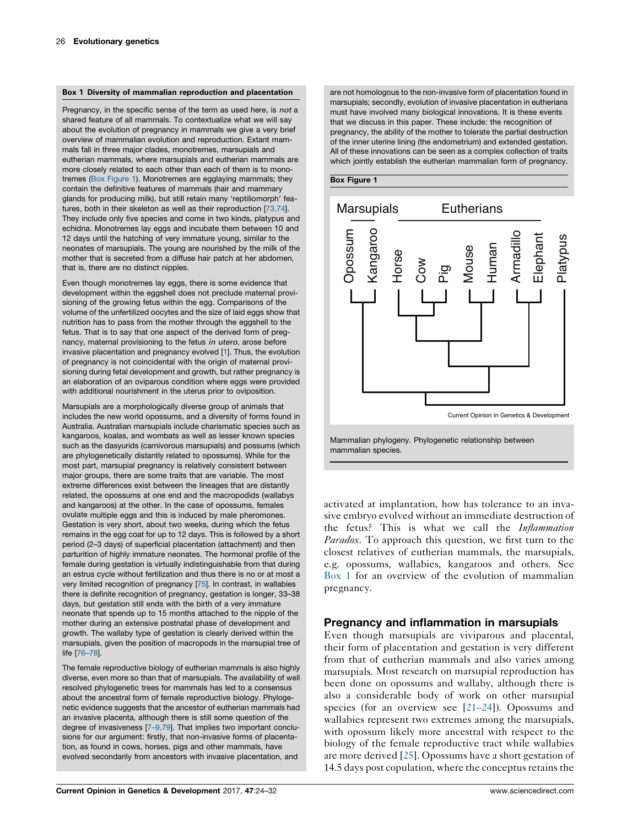#### Box 1 Diversity of mammalian reproduction and placentation

Pregnancy, in the specific sense of the term as used here, is not a shared feature of all mammals. To contextualize what we will say about the evolution of pregnancy in mammals we give a very brief overview of mammalian evolution and reproduction. Extant mammals fall in three major clades, monotremes, marsupials and eutherian mammals, where marsupials and eutherian mammals are more closely related to each other than each of them is to monotremes (Box Figure 1). Monotremes are egglaying mammals; they contain the definitive features of mammals (hair and mammary glands for producing milk), but still retain many 'reptiliomorph' features, both in their skeleton as well as their reproduction [\[73,74\]](#page-7-0). They include only five species and come in two kinds, platypus and echidna. Monotremes lay eggs and incubate them between 10 and 12 days until the hatching of very immature young, similar to the neonates of marsupials. The young are nourished by the milk of the mother that is secreted from a diffuse hair patch at her abdomen, that is, there are no distinct nipples.

Even though monotremes lay eggs, there is some evidence that development within the eggshell does not preclude maternal provisioning of the growing fetus within the egg. Comparisons of the volume of the unfertilized oocytes and the size of laid eggs show that nutrition has to pass from the mother through the eggshell to the fetus. That is to say that one aspect of the derived form of pregnancy, maternal provisioning to the fetus in utero, arose before invasive placentation and pregnancy evolved [\[1](#page-6-0)]. Thus, the evolution of pregnancy is not coincidental with the origin of maternal provisioning during fetal development and growth, but rather pregnancy is an elaboration of an oviparous condition where eggs were provided with additional nourishment in the uterus prior to oviposition.

Marsupials are a morphologically diverse group of animals that includes the new world opossums, and a diversity of forms found in Australia. Australian marsupials include charismatic species such as kangaroos, koalas, and wombats as well as lesser known species such as the dasyurids (carnivorous marsupials) and possums (which are phylogenetically distantly related to opossums). While for the most part, marsupial pregnancy is relatively consistent between major groups, there are some traits that are variable. The most extreme differences exist between the lineages that are distantly related, the opossums at one end and the macropodids (wallabys and kangaroos) at the other. In the case of opossums, females ovulate multiple eggs and this is induced by male pheromones. Gestation is very short, about two weeks, during which the fetus remains in the egg coat for up to 12 days. This is followed by a short period (2–3 days) of superficial placentation (attachment) and then parturition of highly immature neonates. The hormonal profile of the female during gestation is virtually indistinguishable from that during an estrus cycle without fertilization and thus there is no or at most a very limited recognition of pregnancy [[75\]](#page-8-0). In contrast, in wallabies there is definite recognition of pregnancy, gestation is longer, 33–38 days, but gestation still ends with the birth of a very immature neonate that spends up to 15 months attached to the nipple of the mother during an extensive postnatal phase of development and growth. The wallaby type of gestation is clearly derived within the marsupials, given the position of macropods in the marsupial tree of life [[76–78](#page-8-0)].

The female reproductive biology of eutherian mammals is also highly diverse, even more so than that of marsupials. The availability of well resolved phylogenetic trees for mammals has led to a consensus about the ancestral form of female reproductive biology. Phylogenetic evidence suggests that the ancestor of eutherian mammals had an invasive placenta, although there is still some question of the degree of invasiveness [\[7–9,79\]](#page-6-0). That implies two important conclusions for our argument: firstly, that non-invasive forms of placentation, as found in cows, horses, pigs and other mammals, have evolved secondarily from ancestors with invasive placentation, and

are not homologous to the non-invasive form of placentation found in marsupials; secondly, evolution of invasive placentation in eutherians must have involved many biological innovations. It is these events that we discuss in this paper. These include: the recognition of pregnancy, the ability of the mother to tolerate the partial destruction of the inner uterine lining (the endometrium) and extended gestation. All of these innovations can be seen as a complex collection of traits which jointly establish the eutherian mammalian form of pregnancy.





Mammalian phylogeny. Phylogenetic relationship between mammalian species.

activated at implantation, how has tolerance to an invasive embryo evolved without an immediate destruction of the fetus? This is what we call the Inflammation Paradox. To approach this question, we first turn to the closest relatives of eutherian mammals, the marsupials, e.g. opossums, wallabies, kangaroos and others. See Box 1 for an overview of the evolution of mammalian pregnancy.

# Pregnancy and inflammation in marsupials

Even though marsupials are viviparous and placental, their form of placentation and gestation is very different from that of eutherian mammals and also varies among marsupials. Most research on marsupial reproduction has been done on opossums and wallaby, although there is also a considerable body of work on other marsupial species (for an overview see  $[21-24]$ ). Opossums and wallabies represent two extremes among the marsupials, with opossum likely more ancestral with respect to the biology of the female reproductive tract while wallabies are more derived [\[25](#page-6-0)]. Opossums have a short gestation of 14.5 days post copulation, where the conceptus retains the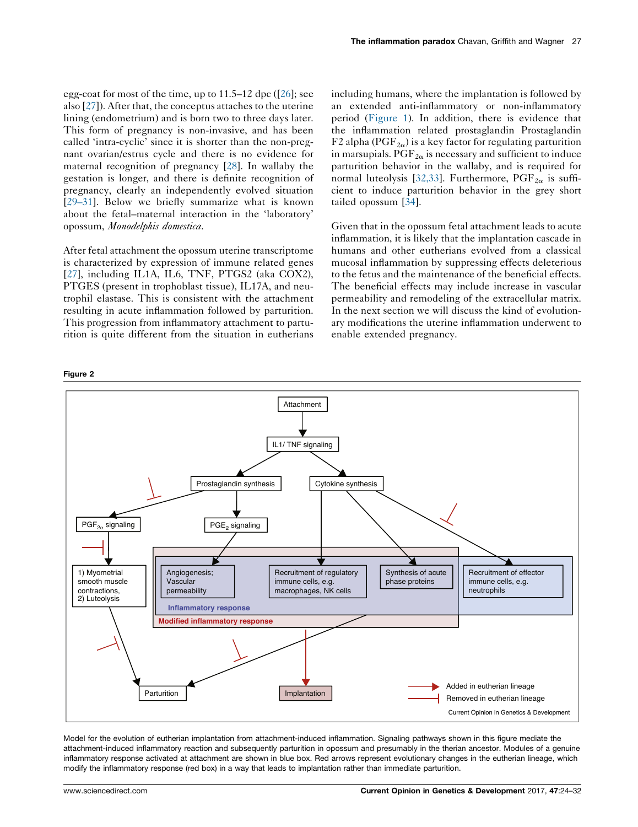<span id="page-3-0"></span>egg-coat for most of the time, up to 11.5–12 dpc ([\[26](#page-6-0)]; see also [\[27](#page-6-0)]). After that, the conceptus attaches to the uterine lining (endometrium) and is born two to three days later. This form of pregnancy is non-invasive, and has been called 'intra-cyclic' since it is shorter than the non-pregnant ovarian/estrus cycle and there is no evidence for maternal recognition of pregnancy [[28\]](#page-6-0). In wallaby the gestation is longer, and there is definite recognition of pregnancy, clearly an independently evolved situation [\[29–31](#page-6-0)]. Below we briefly summarize what is known about the fetal–maternal interaction in the 'laboratory' opossum, Monodelphis domestica.

After fetal attachment the opossum uterine transcriptome is characterized by expression of immune related genes [\[27](#page-6-0)], including IL1A, IL6, TNF, PTGS2 (aka COX2), PTGES (present in trophoblast tissue), IL17A, and neutrophil elastase. This is consistent with the attachment resulting in acute inflammation followed by parturition. This progression from inflammatory attachment to parturition is quite different from the situation in eutherians

including humans, where the implantation is followed by an extended anti-inflammatory or non-inflammatory period ([Figure](#page-1-0) 1). In addition, there is evidence that the inflammation related prostaglandin Prostaglandin F2 alpha (PGF<sub>2 $\alpha$ </sub>) is a key factor for regulating parturition in marsupials. PGF $_{2\alpha}$  is necessary and sufficient to induce parturition behavior in the wallaby, and is required for normal luteolysis [\[32,33\]](#page-6-0). Furthermore,  $PGF_{2\alpha}$  is sufficient to induce parturition behavior in the grey short tailed opossum [\[34](#page-6-0)].

Given that in the opossum fetal attachment leads to acute inflammation, it is likely that the implantation cascade in humans and other eutherians evolved from a classical mucosal inflammation by suppressing effects deleterious to the fetus and the maintenance of the beneficial effects. The beneficial effects may include increase in vascular permeability and remodeling of the extracellular matrix. In the next section we will discuss the kind of evolutionary modifications the uterine inflammation underwent to enable extended pregnancy.



Model for the evolution of eutherian implantation from attachment-induced inflammation. Signaling pathways shown in this figure mediate the attachment-induced inflammatory reaction and subsequently parturition in opossum and presumably in the therian ancestor. Modules of a genuine inflammatory response activated at attachment are shown in blue box. Red arrows represent evolutionary changes in the eutherian lineage, which modify the inflammatory response (red box) in a way that leads to implantation rather than immediate parturition.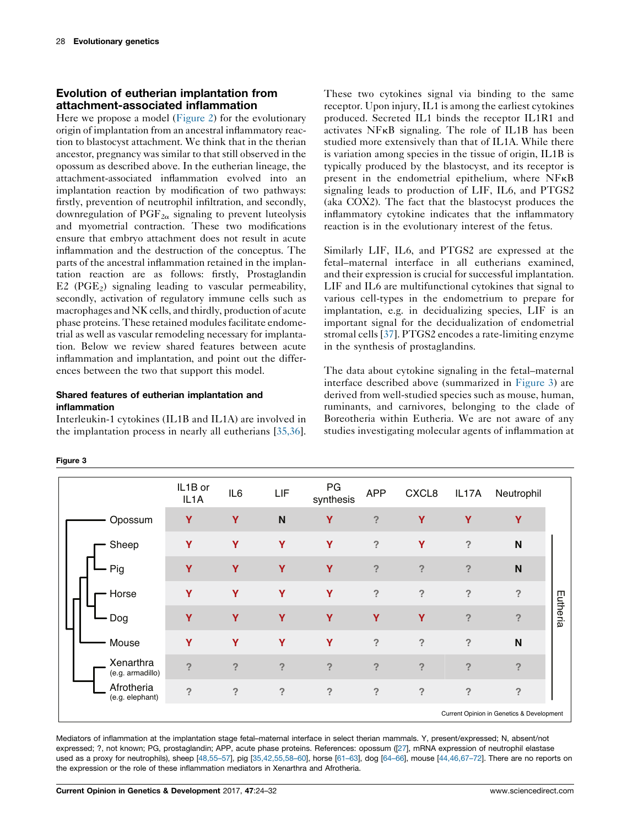# Evolution of eutherian implantation from attachment-associated inflammation

Here we propose a model [\(Figure](#page-3-0) 2) for the evolutionary origin of implantation from an ancestral inflammatory reaction to blastocyst attachment. We think that in the therian ancestor, pregnancy was similar to that still observed in the opossum as described above. In the eutherian lineage, the attachment-associated inflammation evolved into an implantation reaction by modification of two pathways: firstly, prevention of neutrophil infiltration, and secondly, downregulation of  $\text{PGF}_{2\alpha}$  signaling to prevent luteolysis and myometrial contraction. These two modifications ensure that embryo attachment does not result in acute inflammation and the destruction of the conceptus. The parts of the ancestral inflammation retained in the implantation reaction are as follows: firstly, Prostaglandin E2 ( $PGE_2$ ) signaling leading to vascular permeability, secondly, activation of regulatory immune cells such as macrophages and NK cells, and thirdly, production of acute phase proteins. These retained modules facilitate endometrial as well as vascular remodeling necessary for implantation. Below we review shared features between acute inflammation and implantation, and point out the differences between the two that support this model.

## Shared features of eutherian implantation and inflammation

Interleukin-1 cytokines (IL1B and IL1A) are involved in the implantation process in nearly all eutherians [[35,36](#page-7-0)].

These two cytokines signal via binding to the same receptor. Upon injury, IL1 is among the earliest cytokines produced. Secreted IL1 binds the receptor IL1R1 and activates NFkB signaling. The role of IL1B has been studied more extensively than that of IL1A. While there is variation among species in the tissue of origin, IL1B is typically produced by the blastocyst, and its receptor is present in the endometrial epithelium, where NFkB signaling leads to production of LIF, IL6, and PTGS2 (aka COX2). The fact that the blastocyst produces the inflammatory cytokine indicates that the inflammatory reaction is in the evolutionary interest of the fetus.

Similarly LIF, IL6, and PTGS2 are expressed at the fetal–maternal interface in all eutherians examined, and their expression is crucial for successful implantation. LIF and IL6 are multifunctional cytokines that signal to various cell-types in the endometrium to prepare for implantation, e.g. in decidualizing species, LIF is an important signal for the decidualization of endometrial stromal cells [\[37](#page-7-0)]. PTGS2 encodes a rate-limiting enzyme in the synthesis of prostaglandins.

The data about cytokine signaling in the fetal–maternal interface described above (summarized in Figure 3) are derived from well-studied species such as mouse, human, ruminants, and carnivores, belonging to the clade of Boreotheria within Eutheria. We are not aware of any studies investigating molecular agents of inflammation at

| nur<br>ı |
|----------|
|----------|

|  |                               | IL1B or<br>IL <sub>1</sub> A | IL6            | LIF            | PG<br>synthesis          | <b>APP</b>               | CXCL8          | IL17A          | Neutrophil                                |          |
|--|-------------------------------|------------------------------|----------------|----------------|--------------------------|--------------------------|----------------|----------------|-------------------------------------------|----------|
|  | Opossum                       | Ÿ                            | Y              | N              | Y                        | $\overline{?}$           | Y              | Y              | Y                                         |          |
|  | Sheep                         | Ÿ                            | Ÿ              | Ÿ              | Y                        | $\overline{?}$           | Y              | $\overline{?}$ | N                                         |          |
|  | Pig                           | Ÿ                            | Y              | Ÿ              | Ÿ                        | $\overline{?}$           | $\overline{?}$ | $\overline{?}$ | N                                         | Eutheria |
|  | Horse                         | Ÿ                            | Y              | Ÿ              | Ÿ                        | $\overline{?}$           | $\overline{?}$ | $\overline{?}$ | $\overline{?}$                            |          |
|  | Dog                           | Ÿ                            | Ÿ              | Ÿ              | Ÿ                        | Y                        | Y              | $\overline{?}$ | $\overline{?}$                            |          |
|  | Mouse                         | Ÿ                            | Y              | Y              | Y                        | $\overline{\phantom{a}}$ | $\overline{?}$ | $\overline{?}$ | N                                         |          |
|  | Xenarthra<br>(e.g. armadillo) | $\overline{?}$               | $\overline{?}$ | $\overline{?}$ | $\overline{\phantom{a}}$ | $\overline{\mathbf{r}}$  | $\overline{?}$ | $\overline{?}$ | $\overline{?}$                            |          |
|  | Afrotheria<br>(e.g. elephant) | $\overline{?}$               | $\overline{?}$ | $\overline{?}$ | $\overline{?}$           | $\overline{?}$           | $\overline{?}$ | $\overline{?}$ | $\overline{?}$                            |          |
|  |                               |                              |                |                |                          |                          |                |                | Current Opinion in Genetics & Development |          |

Mediators of inflammation at the implantation stage fetal–maternal interface in select therian mammals. Y, present/expressed; N, absent/not expressed; ?, not known; PG, prostaglandin; APP, acute phase proteins. References: opossum ([\[27](#page-6-0)], mRNA expression of neutrophil elastase used as a proxy for neutrophils), sheep [[48,55–57](#page-7-0)], pig [[35,42,55,58–60](#page-7-0)], horse [[61–63\]](#page-7-0), dog [[64–66](#page-7-0)], mouse [[44,46,67–72\]](#page-7-0). There are no reports on the expression or the role of these inflammation mediators in Xenarthra and Afrotheria.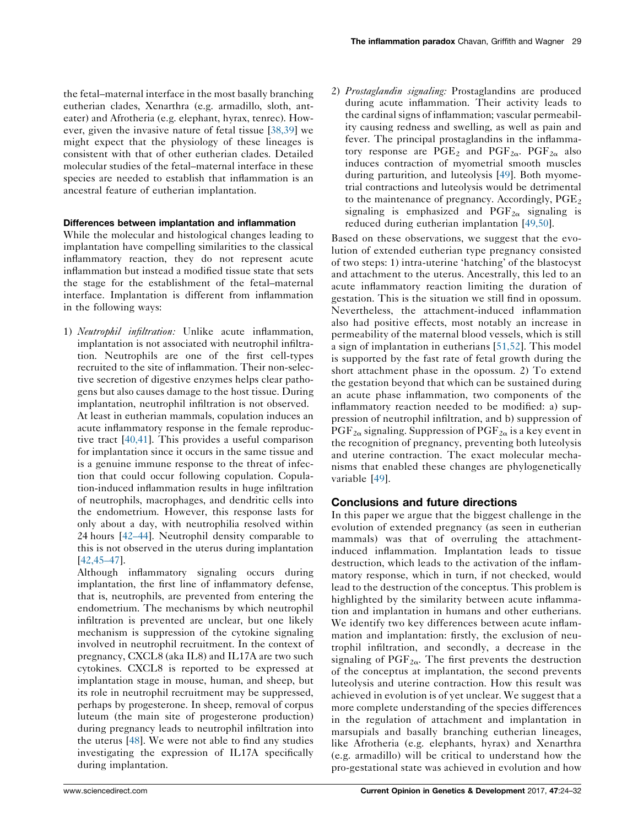the fetal–maternal interface in the most basally branching eutherian clades, Xenarthra (e.g. armadillo, sloth, anteater) and Afrotheria (e.g. elephant, hyrax, tenrec). However, given the invasive nature of fetal tissue [\[38,39\]](#page-7-0) we might expect that the physiology of these lineages is consistent with that of other eutherian clades. Detailed molecular studies of the fetal–maternal interface in these species are needed to establish that inflammation is an ancestral feature of eutherian implantation.

## Differences between implantation and inflammation

While the molecular and histological changes leading to implantation have compelling similarities to the classical inflammatory reaction, they do not represent acute inflammation but instead a modified tissue state that sets the stage for the establishment of the fetal–maternal interface. Implantation is different from inflammation in the following ways:

1) Neutrophil infiltration: Unlike acute inflammation, implantation is not associated with neutrophil infiltration. Neutrophils are one of the first cell-types recruited to the site of inflammation. Their non-selective secretion of digestive enzymes helps clear pathogens but also causes damage to the host tissue. During implantation, neutrophil infiltration is not observed. At least in eutherian mammals, copulation induces an acute inflammatory response in the female reproductive tract [[40,41](#page-7-0)]. This provides a useful comparison for implantation since it occurs in the same tissue and is a genuine immune response to the threat of infection that could occur following copulation. Copulation-induced inflammation results in huge infiltration of neutrophils, macrophages, and dendritic cells into the endometrium. However, this response lasts for only about a day, with neutrophilia resolved within 24 hours [[42–44\]](#page-7-0). Neutrophil density comparable to this is not observed in the uterus during implantation [[42,45–47](#page-7-0)].

Although inflammatory signaling occurs during implantation, the first line of inflammatory defense, that is, neutrophils, are prevented from entering the endometrium. The mechanisms by which neutrophil infiltration is prevented are unclear, but one likely mechanism is suppression of the cytokine signaling involved in neutrophil recruitment. In the context of pregnancy, CXCL8 (aka IL8) and IL17A are two such cytokines. CXCL8 is reported to be expressed at implantation stage in mouse, human, and sheep, but its role in neutrophil recruitment may be suppressed, perhaps by progesterone. In sheep, removal of corpus luteum (the main site of progesterone production) during pregnancy leads to neutrophil infiltration into the uterus [\[48](#page-7-0)]. We were not able to find any studies investigating the expression of IL17A specifically during implantation.

2) *Prostaglandin signaling*: Prostaglandins are produced during acute inflammation. Their activity leads to the cardinal signs of inflammation; vascular permeability causing redness and swelling, as well as pain and fever. The principal prostaglandins in the inflammatory response are  $PGE_2$  and  $PGF_{2\alpha}$ .  $PGF_{2\alpha}$  also induces contraction of myometrial smooth muscles during parturition, and luteolysis [[49\]](#page-7-0). Both myometrial contractions and luteolysis would be detrimental to the maintenance of pregnancy. Accordingly,  $PGE_2$ signaling is emphasized and  $PGF_{2\alpha}$  signaling is reduced during eutherian implantation [\[49,50\]](#page-7-0).

Based on these observations, we suggest that the evolution of extended eutherian type pregnancy consisted of two steps: 1) intra-uterine 'hatching' of the blastocyst and attachment to the uterus. Ancestrally, this led to an acute inflammatory reaction limiting the duration of gestation. This is the situation we still find in opossum. Nevertheless, the attachment-induced inflammation also had positive effects, most notably an increase in permeability of the maternal blood vessels, which is still a sign of implantation in eutherians [[51,52\]](#page-7-0). This model is supported by the fast rate of fetal growth during the short attachment phase in the opossum. 2) To extend the gestation beyond that which can be sustained during an acute phase inflammation, two components of the inflammatory reaction needed to be modified: a) suppression of neutrophil infiltration, and b) suppression of  $PGF_{2\alpha}$  signaling. Suppression of  $PGF_{2\alpha}$  is a key event in the recognition of pregnancy, preventing both luteolysis and uterine contraction. The exact molecular mechanisms that enabled these changes are phylogenetically variable [\[49](#page-7-0)].

# Conclusions and future directions

In this paper we argue that the biggest challenge in the evolution of extended pregnancy (as seen in eutherian mammals) was that of overruling the attachmentinduced inflammation. Implantation leads to tissue destruction, which leads to the activation of the inflammatory response, which in turn, if not checked, would lead to the destruction of the conceptus. This problem is highlighted by the similarity between acute inflammation and implantation in humans and other eutherians. We identify two key differences between acute inflammation and implantation: firstly, the exclusion of neutrophil infiltration, and secondly, a decrease in the signaling of  $PGF_{2\alpha}$ . The first prevents the destruction of the conceptus at implantation, the second prevents luteolysis and uterine contraction. How this result was achieved in evolution is of yet unclear. We suggest that a more complete understanding of the species differences in the regulation of attachment and implantation in marsupials and basally branching eutherian lineages, like Afrotheria (e.g. elephants, hyrax) and Xenarthra (e.g. armadillo) will be critical to understand how the pro-gestational state was achieved in evolution and how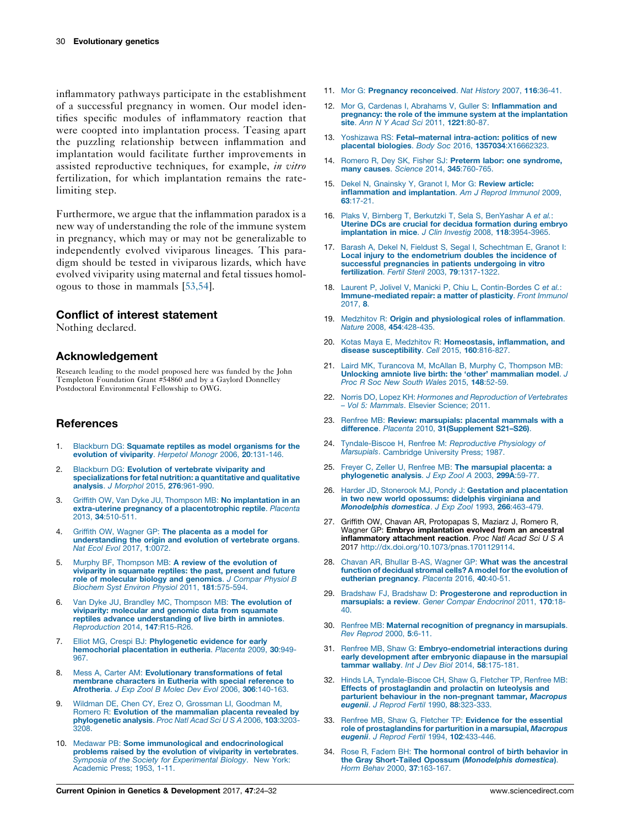<span id="page-6-0"></span>inflammatory pathways participate in the establishment of a successful pregnancy in women. Our model identifies specific modules of inflammatory reaction that were coopted into implantation process. Teasing apart the puzzling relationship between inflammation and implantation would facilitate further improvements in assisted reproductive techniques, for example, in vitro fertilization, for which implantation remains the ratelimiting step.

Furthermore, we argue that the inflammation paradox is a new way of understanding the role of the immune system in pregnancy, which may or may not be generalizable to independently evolved viviparous lineages. This paradigm should be tested in viviparous lizards, which have evolved viviparity using maternal and fetal tissues homologous to those in mammals [[53,54](#page-7-0)].

## Conflict of interest statement

Nothing declared.

# Acknowledgement

Research leading to the model proposed here was funded by the John Templeton Foundation Grant #54860 and by a Gaylord Donnelley Postdoctoral Environmental Fellowship to OWG.

# **References**

- 1. Blackburn DG: Squamate reptiles as model [organisms](http://refhub.elsevier.com/S0959-437X(17)30041-2/sbref0005) for the [evolution](http://refhub.elsevier.com/S0959-437X(17)30041-2/sbref0005) of viviparity. Herpetol Monogr 2006, 20:131-146.
- 2. Blackburn DG: Evolution of [vertebrate](http://refhub.elsevier.com/S0959-437X(17)30041-2/sbref0010) viviparity and [specializations](http://refhub.elsevier.com/S0959-437X(17)30041-2/sbref0010) forfetal nutrition: a quantitative and qualitative analysis. J Morphol 2015, 276[:961-990.](http://refhub.elsevier.com/S0959-437X(17)30041-2/sbref0010)
- 3. Griffith OW, Van Dyke JU, Thompson MB: No [implantation](http://refhub.elsevier.com/S0959-437X(17)30041-2/sbref0015) in an extra-uterine pregnancy of a [placentotrophic](http://refhub.elsevier.com/S0959-437X(17)30041-2/sbref0015) reptile. Placenta 2013, 34[:510-511.](http://refhub.elsevier.com/S0959-437X(17)30041-2/sbref0015)
- 4. Griffith OW, Wagner GP: The [placenta](http://refhub.elsevier.com/S0959-437X(17)30041-2/sbref0020) as a model for [understanding](http://refhub.elsevier.com/S0959-437X(17)30041-2/sbref0020) the origin and evolution of vertebrate organs. Nat Ecol Evol 2017, 1[:0072.](http://refhub.elsevier.com/S0959-437X(17)30041-2/sbref0020)
- 5. Murphy BF, [Thompson](http://refhub.elsevier.com/S0959-437X(17)30041-2/sbref0025) MB: A review of the evolution of viviparity in [squamate](http://refhub.elsevier.com/S0959-437X(17)30041-2/sbref0025) reptiles: the past, present and future<br>role of [molecular](http://refhub.elsevier.com/S0959-437X(17)30041-2/sbref0025) biology and genomics. J Compar Physiol B Biochem Syst Environ Physiol 2011, 181[:575-594.](http://refhub.elsevier.com/S0959-437X(17)30041-2/sbref0025)
- 6. Van Dyke JU, Brandley MC, [Thompson](http://refhub.elsevier.com/S0959-437X(17)30041-2/sbref0030) MB: The evolution of viviparity: [molecular](http://refhub.elsevier.com/S0959-437X(17)30041-2/sbref0030) and genomic data from squamate reptiles advance [understanding](http://refhub.elsevier.com/S0959-437X(17)30041-2/sbref0030) of live birth in amniotes. [Reproduction](http://refhub.elsevier.com/S0959-437X(17)30041-2/sbref0030) 2014, 147:R15-R26.
- 7. Elliot MG, Crespi BJ: [Phylogenetic](http://refhub.elsevier.com/S0959-437X(17)30041-2/sbref0035) evidence for early [hemochorial](http://refhub.elsevier.com/S0959-437X(17)30041-2/sbref0035) placentation in eutheria. Placenta 2009, 30:949- [967.](http://refhub.elsevier.com/S0959-437X(17)30041-2/sbref0035)
- 8. Mess A, Carter AM: Evolutionary [transformations](http://refhub.elsevier.com/S0959-437X(17)30041-2/sbref0040) of fetal [membrane](http://refhub.elsevier.com/S0959-437X(17)30041-2/sbref0040) characters in Eutheria with special reference to [Afrotheria](http://refhub.elsevier.com/S0959-437X(17)30041-2/sbref0040). J Exp Zool B Molec Dev Evol 2006, 306:140-163.
- 9. Wildman DE, Chen CY, Erez O, [Grossman](http://refhub.elsevier.com/S0959-437X(17)30041-2/sbref0045) LI, Goodman M, Romero R: **Evolution of the [mammalian](http://refhub.elsevier.com/S0959-437X(17)30041-2/sbref0045) placenta revealed by**<br>**[phylogenetic](http://refhub.elsevier.com/S0959-437X(17)30041-2/sbref0045) analysis**. *Proc Natl Acad Sci U S A* 2006, 103:3203-[3208.](http://refhub.elsevier.com/S0959-437X(17)30041-2/sbref0045)
- 10. Medawar PB: Some immunological and [endocrinological](http://refhub.elsevier.com/S0959-437X(17)30041-2/sbref0050) problems raised by the evolution of viviparity in [vertebrates](http://refhub.elsevier.com/S0959-437X(17)30041-2/sbref0050). Symposia of the Society for [Experimental](http://refhub.elsevier.com/S0959-437X(17)30041-2/sbref0050) Biology. New York: [Academic](http://refhub.elsevier.com/S0959-437X(17)30041-2/sbref0050) Press; 1953, 1-11.
- 11. Mor G: Pregnancy [reconceived](http://refhub.elsevier.com/S0959-437X(17)30041-2/sbref0055). Nat History 2007, 116:36-41.
- 12. Mor G. Cardenas I, Abrahams V, Guller S: [Inflammation](http://refhub.elsevier.com/S0959-437X(17)30041-2/sbref0060) and pregnancy: the role of the immune system at the [implantation](http://refhub.elsevier.com/S0959-437X(17)30041-2/sbref0060) site. Ann N Y Acad Sci 2011, 1221[:80-87.](http://refhub.elsevier.com/S0959-437X(17)30041-2/sbref0060)
- 13. Yoshizawa RS: [Fetal–maternal](http://refhub.elsevier.com/S0959-437X(17)30041-2/sbref0065) intra-action: politics of new placental biologies. Body Soc 2016, 1357034[:X16662323.](http://refhub.elsevier.com/S0959-437X(17)30041-2/sbref0065)
- 14. Romero R, Dey SK, Fisher SJ: Preterm labor: one syndrome. many causes. Science 2014, 345[:760-765.](http://refhub.elsevier.com/S0959-437X(17)30041-2/sbref0070)
- 15. Dekel N, [Gnainsky](http://refhub.elsevier.com/S0959-437X(17)30041-2/sbref0075) Y, Granot I, Mor G: Review article: [inflammation](http://refhub.elsevier.com/S0959-437X(17)30041-2/sbref0075) and implantation. Am J Reprod Immunol 2009, 63[:17-21.](http://refhub.elsevier.com/S0959-437X(17)30041-2/sbref0075)
- 16. Plaks V, Birnberg T, Berkutzki T, Sela S, [BenYashar](http://refhub.elsevier.com/S0959-437X(17)30041-2/sbref0080) A et al.: Uterine DCs are crucial for decidua [formation](http://refhub.elsevier.com/S0959-437X(17)30041-2/sbref0080) during embryo [implantation](http://refhub.elsevier.com/S0959-437X(17)30041-2/sbref0080) in mice. J Clin Investig 2008, 118:3954-3965.
- 17. Barash A, Dekel N, Fieldust S, Segal I, [Schechtman](http://refhub.elsevier.com/S0959-437X(17)30041-2/sbref0085) E, Granot I: Local injury to the [endometrium](http://refhub.elsevier.com/S0959-437X(17)30041-2/sbref0085) doubles the incidence of successful [pregnancies](http://refhub.elsevier.com/S0959-437X(17)30041-2/sbref0085) in patients undergoing in vitro fertilization. Fertil Steril 2003, 79[:1317-1322.](http://refhub.elsevier.com/S0959-437X(17)30041-2/sbref0085)
- 18. Laurent P, Jolivel V, Manicki P, Chiu L, [Contin-Bordes](http://refhub.elsevier.com/S0959-437X(17)30041-2/sbref0090) C et al.: [Immune-mediated](http://refhub.elsevier.com/S0959-437X(17)30041-2/sbref0090) repair: a matter of plasticity. Front Immunol [2017,](http://refhub.elsevier.com/S0959-437X(17)30041-2/sbref0090) 8.
- 19. Medzhitov R: Origin and [physiological](http://refhub.elsevier.com/S0959-437X(17)30041-2/sbref0095) roles of inflammation. Nature 2008, 454[:428-435.](http://refhub.elsevier.com/S0959-437X(17)30041-2/sbref0095)
- 20. Kotas Maya E, Medzhitov R: [Homeostasis,](http://refhub.elsevier.com/S0959-437X(17)30041-2/sbref0100) inflammation, and disease [susceptibility](http://refhub.elsevier.com/S0959-437X(17)30041-2/sbref0100). Cell 2015, 160:816-827.
- 21. Laird MK, Turancova M, McAllan B, Murphy C, [Thompson](http://refhub.elsevier.com/S0959-437X(17)30041-2/sbref0105) MB: Unlocking amniote live birth: the 'other' [mammalian](http://refhub.elsevier.com/S0959-437X(17)30041-2/sbref0105) model. J Proc R Soc New South Wales 2015, 148[:52-59.](http://refhub.elsevier.com/S0959-437X(17)30041-2/sbref0105)
- 22. Norris DO, Lopez KH: Hormones and [Reproduction](http://refhub.elsevier.com/S0959-437X(17)30041-2/sbref0110) of Vertebrates – Vol 5: [Mammals](http://refhub.elsevier.com/S0959-437X(17)30041-2/sbref0110). Elsevier Science; 2011.
- 23. Renfree MB: Review: [marsupials:](http://refhub.elsevier.com/S0959-437X(17)30041-2/sbref0115) placental mammals with a difference. Placenta 2010, [31\(Supplement](http://refhub.elsevier.com/S0959-437X(17)30041-2/sbref0115) S21–S26).
- 24. [Tyndale-Biscoe](http://refhub.elsevier.com/S0959-437X(17)30041-2/sbref0120) H, Renfree M: Reproductive Physiology of Marsupials. [Cambridge](http://refhub.elsevier.com/S0959-437X(17)30041-2/sbref0120) University Press; 1987.
- 25. Freyer C, Zeller U, Renfree MB: The [marsupial](http://refhub.elsevier.com/S0959-437X(17)30041-2/sbref0125) placenta: a [phylogenetic](http://refhub.elsevier.com/S0959-437X(17)30041-2/sbref0125) analysis. J Exp Zool A 2003, 299A:59-77.
- 26. Harder JD, Stonerook MJ, Pondy J: Gestation and [placentation](http://refhub.elsevier.com/S0959-437X(17)30041-2/sbref0130) in two new world [opossums:](http://refhub.elsevier.com/S0959-437X(17)30041-2/sbref0130) didelphis virginiana and [Monodelphis](http://refhub.elsevier.com/S0959-437X(17)30041-2/sbref0130) domestica. J Exp Zool 1993, 266:463-479.
- 27. Griffith OW, Chavan AR, Protopapas S, Maziarz J, Romero R, Wagner GP: Embryo implantation evolved from an ancestral inflammatory attachment reaction. Proc Natl Acad Sci U S A 2017 <http://dx.doi.org/10.1073/pnas.1701129114>.
- 28. Chavan AR, Bhullar B-AS, Wagner GP: What was the [ancestral](http://refhub.elsevier.com/S0959-437X(17)30041-2/sbref0140) function of decidual stromal cells? A model for the [evolution](http://refhub.elsevier.com/S0959-437X(17)30041-2/sbref0140) of eutherian [pregnancy](http://refhub.elsevier.com/S0959-437X(17)30041-2/sbref0140). Placenta 2016, 40:40-51.
- 29. Bradshaw FJ, Bradshaw D: [Progesterone](http://refhub.elsevier.com/S0959-437X(17)30041-2/sbref0145) and reproduction in [marsupials:](http://refhub.elsevier.com/S0959-437X(17)30041-2/sbref0145) a review. Gener Compar Endocrinol 2011, 170:18-[40.](http://refhub.elsevier.com/S0959-437X(17)30041-2/sbref0145)
- 30. Renfree MB: Maternal [recognition](http://refhub.elsevier.com/S0959-437X(17)30041-2/sbref0150) of pregnancy in marsupials. Rev [Reprod](http://refhub.elsevier.com/S0959-437X(17)30041-2/sbref0150) 2000, 5:6-11.
- 31. Renfree MB, Shaw G: [Embryo-endometrial](http://refhub.elsevier.com/S0959-437X(17)30041-2/sbref0155) interactions during early [development](http://refhub.elsevier.com/S0959-437X(17)30041-2/sbref0155) after embryonic diapause in the marsupial<br>tammar wallaby. Int J Dev Biol 2014, 58[:175-181.](http://refhub.elsevier.com/S0959-437X(17)30041-2/sbref0155)
- 32. Hinds LA, [Tyndale-Biscoe](http://refhub.elsevier.com/S0959-437X(17)30041-2/sbref0160) CH, Shaw G, Fletcher TP, Renfree MB: Effects of [prostaglandin](http://refhub.elsevier.com/S0959-437X(17)30041-2/sbref0160) and prolactin on luteolysis and parturient behaviour in the [non-pregnant](http://refhub.elsevier.com/S0959-437X(17)30041-2/sbref0160) tammar, Macropus eugenii. J Reprod Fertil 1990, 88[:323-333.](http://refhub.elsevier.com/S0959-437X(17)30041-2/sbref0160)
- 33. Renfree MB, Shaw G, Fletcher TP: [Evidence](http://refhub.elsevier.com/S0959-437X(17)30041-2/sbref0165) for the essential role of [prostaglandins](http://refhub.elsevier.com/S0959-437X(17)30041-2/sbref0165) for parturition in a marsupial, Macropus eugenii. J Reprod Fertil 1994, 102[:433-446.](http://refhub.elsevier.com/S0959-437X(17)30041-2/sbref0165)
- 34. Rose R, Fadem BH: The [hormonal](http://refhub.elsevier.com/S0959-437X(17)30041-2/sbref0170) control of birth behavior in the Gray Short-Tailed Opossum ([Monodelphis](http://refhub.elsevier.com/S0959-437X(17)30041-2/sbref0170) domestica). Horm Behav 2000, 37[:163-167.](http://refhub.elsevier.com/S0959-437X(17)30041-2/sbref0170)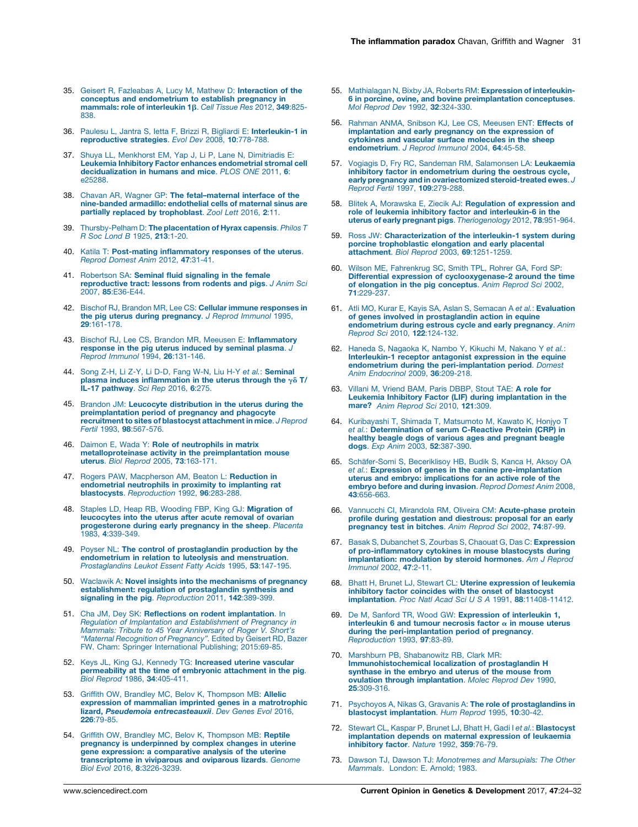- <span id="page-7-0"></span>35. Geisert R, Fazleabas A, Lucy M, Mathew D: [Interaction](http://refhub.elsevier.com/S0959-437X(17)30041-2/sbref0175) of the conceptus and [endometrium](http://refhub.elsevier.com/S0959-437X(17)30041-2/sbref0175) to establish pregnancy in mammals: role of [interleukin](http://refhub.elsevier.com/S0959-437X(17)30041-2/sbref0175) 1B. Cell Tissue Res 2012, 349:825-[838.](http://refhub.elsevier.com/S0959-437X(17)30041-2/sbref0175)
- 36. Paulesu L, Jantra S, Ietta F, Brizzi R, Bigliardi E: [Interleukin-1](http://refhub.elsevier.com/S0959-437X(17)30041-2/sbref0180) in [reproductive](http://refhub.elsevier.com/S0959-437X(17)30041-2/sbref0180) strategies. Evol Dev 2008, 10:778-788.
- 37. Shuya LL, [Menkhorst](http://refhub.elsevier.com/S0959-437X(17)30041-2/sbref0185) EM, Yap J, Li P, Lane N, Dimitriadis E: Leukemia Inhibitory Factor enhances [endometrial](http://refhub.elsevier.com/S0959-437X(17)30041-2/sbref0185) stromal cell [decidualization](http://refhub.elsevier.com/S0959-437X(17)30041-2/sbref0185) in humans and mice. PLOS ONE 2011, 6: [e25288.](http://refhub.elsevier.com/S0959-437X(17)30041-2/sbref0185)
- 38. Chavan AR, Wagner GP: The [fetal–maternal](http://refhub.elsevier.com/S0959-437X(17)30041-2/sbref0190) interface of the [nine-banded](http://refhub.elsevier.com/S0959-437X(17)30041-2/sbref0190) armadillo: endothelial cells of maternal sinus are partially replaced by [trophoblast](http://refhub.elsevier.com/S0959-437X(17)30041-2/sbref0190). Zool Lett 2016, 2:11.
- 39. [Thursby-Pelham](http://refhub.elsevier.com/S0959-437X(17)30041-2/sbref0195) D: The placentation of Hyrax capensis. Philos T R Soc Lond B 1925, 213[:1-20.](http://refhub.elsevier.com/S0959-437X(17)30041-2/sbref0195)
- 40. Katila T: Post-mating [inflammatory](http://refhub.elsevier.com/S0959-437X(17)30041-2/sbref0200) responses of the uterus.<br>*Reprod [Domest](http://refhub.elsevier.com/S0959-437X(17)30041-2/sbref0200) Anim 2012, 47:31-41*.
- 41. [Robertson](http://refhub.elsevier.com/S0959-437X(17)30041-2/sbref0205) SA: Seminal fluid signaling in the female [reproductive](http://refhub.elsevier.com/S0959-437X(17)30041-2/sbref0205) tract: lessons from rodents and pigs. J Anim Sci 2007, 85[:E36-E44.](http://refhub.elsevier.com/S0959-437X(17)30041-2/sbref0205)
- 42. Bischof RJ, Brandon MR, Lee CS: Cellular immune [responses](http://refhub.elsevier.com/S0959-437X(17)30041-2/sbref0210) in the pig uterus during [pregnancy](http://refhub.elsevier.com/S0959-437X(17)30041-2/sbref0210). J Reprod Immunol 1995, 29[:161-178.](http://refhub.elsevier.com/S0959-437X(17)30041-2/sbref0210)
- 43. Bischof RJ, Lee CS, Brandon MR, Meeusen E: [Inflammatory](http://refhub.elsevier.com/S0959-437X(17)30041-2/sbref0215) [response](http://refhub.elsevier.com/S0959-437X(17)30041-2/sbref0215) in the pig uterus induced by seminal plasma. J Reprod Immunol 1994, 26[:131-146.](http://refhub.elsevier.com/S0959-437X(17)30041-2/sbref0215)
- 44. Song Z-H, Li Z-Y, Li D-D, Fang W-N, Liu H-Y et al.: [Seminal](http://refhub.elsevier.com/S0959-437X(17)30041-2/sbref0220) plasma induces [inflammation](http://refhub.elsevier.com/S0959-437X(17)30041-2/sbref0220) in the uterus through the  $\gamma\delta$  T/ IL-17 [pathway](http://refhub.elsevier.com/S0959-437X(17)30041-2/sbref0220). Sci Rep 2016, 6:275.
- 45. Brandon JM: Leucocyte [distribution](http://refhub.elsevier.com/S0959-437X(17)30041-2/sbref0225) in the uterus during the [preimplantation](http://refhub.elsevier.com/S0959-437X(17)30041-2/sbref0225) period of pregnancy and phagocyte [recruitment](http://refhub.elsevier.com/S0959-437X(17)30041-2/sbref0225) to sites of blastocyst attachment in mice. J Reprod Fertil 1993, 98[:567-576.](http://refhub.elsevier.com/S0959-437X(17)30041-2/sbref0225)
- 46. Daimon E, Wada Y: Role of [neutrophils](http://refhub.elsevier.com/S0959-437X(17)30041-2/sbref0230) in matrix [metalloproteinase](http://refhub.elsevier.com/S0959-437X(17)30041-2/sbref0230) activity in the preimplantation mouse uterus. Biol Reprod 2005, 73[:163-171.](http://refhub.elsevier.com/S0959-437X(17)30041-2/sbref0230)
- 47. Rogers PAW, [Macpherson](http://refhub.elsevier.com/S0959-437X(17)30041-2/sbref0235) AM, Beaton L: Reduction in [endometrial](http://refhub.elsevier.com/S0959-437X(17)30041-2/sbref0235) neutrophils in proximity to implanting rat blastocysts. [Reproduction](http://refhub.elsevier.com/S0959-437X(17)30041-2/sbref0235) 1992, 96:283-288
- 48. Staples LD, Heap RB, Wooding FBP, King GJ: [Migration](http://refhub.elsevier.com/S0959-437X(17)30041-2/sbref0240) of [leucocytes](http://refhub.elsevier.com/S0959-437X(17)30041-2/sbref0240) into the uterus after acute removal of ovarian [progesterone](http://refhub.elsevier.com/S0959-437X(17)30041-2/sbref0240) during early pregnancy in the sheep. Placenta 1983, 4[:339-349.](http://refhub.elsevier.com/S0959-437X(17)30041-2/sbref0240)
- 49. Poyser NL: The control of [prostaglandin](http://refhub.elsevier.com/S0959-437X(17)30041-2/sbref0245) production by the [endometrium](http://refhub.elsevier.com/S0959-437X(17)30041-2/sbref0245) in relation to luteolysis and menstruation. [Prostaglandins](http://refhub.elsevier.com/S0959-437X(17)30041-2/sbref0245) Leukot Essent Fatty Acids 1995, 53:147-195.
- 50. Waclawik A: Novel insights into the [mechanisms](http://refhub.elsevier.com/S0959-437X(17)30041-2/sbref0250) of pregnancy [establishment:](http://refhub.elsevier.com/S0959-437X(17)30041-2/sbref0250) regulation of prostaglandin synthesis and signaling in the pig. [Reproduction](http://refhub.elsevier.com/S0959-437X(17)30041-2/sbref0250) 2011, 142:389-399.
- 51. Cha JM, Dey SK: Reflections on rodent [implantation](http://refhub.elsevier.com/S0959-437X(17)30041-2/sbref0255). In Regulation of Implantation and [Establishment](http://refhub.elsevier.com/S0959-437X(17)30041-2/sbref0255) of Pregnancy in Mammals: Tribute to 45 Year [Anniversary](http://refhub.elsevier.com/S0959-437X(17)30041-2/sbref0255) of Roger V. Short's "Maternal Recognition of [Pregnancy".](http://refhub.elsevier.com/S0959-437X(17)30041-2/sbref0255) Edited by Geisert RD, Bazer FW. Cham: Springer [International](http://refhub.elsevier.com/S0959-437X(17)30041-2/sbref0255) Publishing; 2015:69-85.
- 52. Keys JL, King GJ, Kennedy TG: [Increased](http://refhub.elsevier.com/S0959-437X(17)30041-2/sbref0260) uterine vascular [permeability](http://refhub.elsevier.com/S0959-437X(17)30041-2/sbref0260) at the time of embryonic attachment in the pig. Biol Reprod 1986, 34[:405-411.](http://refhub.elsevier.com/S0959-437X(17)30041-2/sbref0260)
- 53. Griffith OW, Brandley MC, Belov K, [Thompson](http://refhub.elsevier.com/S0959-437X(17)30041-2/sbref0265) MB: Allelic expression of mammalian imprinted genes in a [matrotrophic](http://refhub.elsevier.com/S0959-437X(17)30041-2/sbref0265)<br>lizard, Pseudemoia [entrecasteauxii](http://refhub.elsevier.com/S0959-437X(17)30041-2/sbref0265). Dev Genes Evol 2016, 226[:79-85.](http://refhub.elsevier.com/S0959-437X(17)30041-2/sbref0265)
- 54. Griffith OW, Brandley MC, Belov K, [Thompson](http://refhub.elsevier.com/S0959-437X(17)30041-2/sbref0270) MB: Reptile pregnancy is [underpinned](http://refhub.elsevier.com/S0959-437X(17)30041-2/sbref0270) by complex changes in uterine gene expression: a [comparative](http://refhub.elsevier.com/S0959-437X(17)30041-2/sbref0270) analysis of the uterine [transcriptome](http://refhub.elsevier.com/S0959-437X(17)30041-2/sbref0270) in viviparous and oviparous lizards. Genome Biol Evol 2016, 8[:3226-3239.](http://refhub.elsevier.com/S0959-437X(17)30041-2/sbref0270)
- 55. [Mathialagan](http://refhub.elsevier.com/S0959-437X(17)30041-2/sbref0275) N, Bixby JA, Roberts RM: Expression of interleukin-6 in porcine, ovine, and bovine [preimplantation](http://refhub.elsevier.com/S0959-437X(17)30041-2/sbref0275) conceptuses. Mol Reprod Dev 1992, 32[:324-330.](http://refhub.elsevier.com/S0959-437X(17)30041-2/sbref0275)
- 56. Rahman ANMA, Snibson KJ, Lee CS, [Meeusen](http://refhub.elsevier.com/S0959-437X(17)30041-2/sbref0280) ENT: Effects of [implantation](http://refhub.elsevier.com/S0959-437X(17)30041-2/sbref0280) and early pregnancy on the expression of cytokines and vascular surface [molecules](http://refhub.elsevier.com/S0959-437X(17)30041-2/sbref0280) in the sheep [endometrium](http://refhub.elsevier.com/S0959-437X(17)30041-2/sbref0280). J Reprod Immunol 2004, 64:45-58.
- 57. Vogiagis D, Fry RC, Sandeman RM, [Salamonsen](http://refhub.elsevier.com/S0959-437X(17)30041-2/sbref0285) LA: Leukaemia inhibitory factor in [endometrium](http://refhub.elsevier.com/S0959-437X(17)30041-2/sbref0285) during the oestrous cycle, early pregnancy and in [ovariectomized](http://refhub.elsevier.com/S0959-437X(17)30041-2/sbref0285) steroid-treated ewes. J Reprod Fertil 1997, 109[:279-288.](http://refhub.elsevier.com/S0959-437X(17)30041-2/sbref0285)
- 58. Blitek A, Morawska E, Ziecik AJ: Regulation of [expression](http://refhub.elsevier.com/S0959-437X(17)30041-2/sbref0290) and role of leukemia inhibitory factor and [interleukin-6](http://refhub.elsevier.com/S0959-437X(17)30041-2/sbref0290) in the uterus of early pregnant pigs. [Theriogenology](http://refhub.elsevier.com/S0959-437X(17)30041-2/sbref0290) 2012, 78:951-964.
- 59. Ross JW: [Characterization](http://refhub.elsevier.com/S0959-437X(17)30041-2/sbref0295) of the interleukin-1 system during porcine [trophoblastic](http://refhub.elsevier.com/S0959-437X(17)30041-2/sbref0295) elongation and early placental attachment. Biol Reprod 2003, 69[:1251-1259.](http://refhub.elsevier.com/S0959-437X(17)30041-2/sbref0295)
- 60. Wilson ME, [Fahrenkrug](http://refhub.elsevier.com/S0959-437X(17)30041-2/sbref0300) SC, Smith TPL, Rohrer GA, Ford SP: Differential expression of [cyclooxygenase-2](http://refhub.elsevier.com/S0959-437X(17)30041-2/sbref0300) around the time of [elongation](http://refhub.elsevier.com/S0959-437X(17)30041-2/sbref0300) in the pig conceptus. Anim Reprod Sci 2002, 71[:229-237.](http://refhub.elsevier.com/S0959-437X(17)30041-2/sbref0300)
- 61. Atli MO, Kurar E, Kayis SA, Aslan S, Semacan A et al.: [Evaluation](http://refhub.elsevier.com/S0959-437X(17)30041-2/sbref0305) of genes involved in [prostaglandin](http://refhub.elsevier.com/S0959-437X(17)30041-2/sbref0305) action in equine [endometrium](http://refhub.elsevier.com/S0959-437X(17)30041-2/sbref0305) during estrous cycle and early pregnancy. Anim Reprod Sci 2010, 122[:124-132.](http://refhub.elsevier.com/S0959-437X(17)30041-2/sbref0305)
- 62. Haneda S, [Nagaoka](http://refhub.elsevier.com/S0959-437X(17)30041-2/sbref0310) K, Nambo Y, Kikuchi M, Nakano Y et al.: [Interleukin-1](http://refhub.elsevier.com/S0959-437X(17)30041-2/sbref0310) receptor antagonist expression in the equine endometrium during the [peri-implantation](http://refhub.elsevier.com/S0959-437X(17)30041-2/sbref0310) period. Domest Anim [Endocrinol](http://refhub.elsevier.com/S0959-437X(17)30041-2/sbref0310) 2009, 36:209-218.
- 63. Villani M, Vriend BAM, Paris [DBBP,](http://refhub.elsevier.com/S0959-437X(17)30041-2/sbref0315) Stout TAE: A role for Leukemia Inhibitory Factor (LIF) during [implantation](http://refhub.elsevier.com/S0959-437X(17)30041-2/sbref0315) in the mare? Anim [Reprod](http://refhub.elsevier.com/S0959-437X(17)30041-2/sbref0315) Sci 2010, 121:309.
- 64. [Kuribayashi](http://refhub.elsevier.com/S0959-437X(17)30041-2/sbref0320) T, Shimada T, Matsumoto M, Kawato K, Honjyo T et al.: [Determination](http://refhub.elsevier.com/S0959-437X(17)30041-2/sbref0320) of serum C-Reactive Protein (CRP) in healthy beagle dogs of various ages and [pregnant](http://refhub.elsevier.com/S0959-437X(17)30041-2/sbref0320) beagle dogs. Exp Anim 2003, 52[:387-390.](http://refhub.elsevier.com/S0959-437X(17)30041-2/sbref0320)
- 65. Schäfer-Somi S, [Beceriklisoy](http://refhub.elsevier.com/S0959-437X(17)30041-2/sbref0325) HB, Budik S, Kanca H, Aksoy OA et al.: Expression of genes in the canine [pre-implantation](http://refhub.elsevier.com/S0959-437X(17)30041-2/sbref0325) uterus and embryo: [implications](http://refhub.elsevier.com/S0959-437X(17)30041-2/sbref0325) for an active role of the embryo before and during [invasion](http://refhub.elsevier.com/S0959-437X(17)30041-2/sbref0325). Reprod Domest Anim 2008, 43[:656-663.](http://refhub.elsevier.com/S0959-437X(17)30041-2/sbref0325)
- 66. Vannucchi CI, Mirandola RM, Oliveira CM: [Acute-phase](http://refhub.elsevier.com/S0959-437X(17)30041-2/sbref0330) protein profile during gestation and [diestrous:](http://refhub.elsevier.com/S0959-437X(17)30041-2/sbref0330) proposal for an early [pregnancy](http://refhub.elsevier.com/S0959-437X(17)30041-2/sbref0330) test in bitches. Anim Reprod Sci 2002, 74:87-99.
- 67. Basak S, Dubanchet S, Zourbas S, Chaouat G, Das C: [Expression](http://refhub.elsevier.com/S0959-437X(17)30041-2/sbref0335) of [pro-inflammatory](http://refhub.elsevier.com/S0959-437X(17)30041-2/sbref0335) cytokines in mouse blastocysts during [implantation:](http://refhub.elsevier.com/S0959-437X(17)30041-2/sbref0335) modulation by steroid hormones. Am J Reprod [Immunol](http://refhub.elsevier.com/S0959-437X(17)30041-2/sbref0335) 2002, 47:2-11.
- 68. Bhatt H, Brunet LJ, Stewart CL: Uterine [expression](http://refhub.elsevier.com/S0959-437X(17)30041-2/sbref0340) of leukemia inhibitory factor coincides with the onset of [blastocyst](http://refhub.elsevier.com/S0959-437X(17)30041-2/sbref0340) implantation. Proc Natl Acad Sci U S A 1991, 88[:11408-11412.](http://refhub.elsevier.com/S0959-437X(17)30041-2/sbref0340)
- 69. De M, Sanford TR, Wood GW: [Expression](http://refhub.elsevier.com/S0959-437X(17)30041-2/sbref0345) of interleukin 1, [interleukin](http://refhub.elsevier.com/S0959-437X(17)30041-2/sbref0345) 6 and tumour necrosis factor  $\alpha$  in mouse uterus during the [peri-implantation](http://refhub.elsevier.com/S0959-437X(17)30041-2/sbref0345) period of pregnancy. [Reproduction](http://refhub.elsevier.com/S0959-437X(17)30041-2/sbref0345) 1993, 97:83-89.
- 70. Marshburn PB, [Shabanowitz](http://refhub.elsevier.com/S0959-437X(17)30041-2/sbref0350) RB, Clark MR: [Immunohistochemical](http://refhub.elsevier.com/S0959-437X(17)30041-2/sbref0350) localization of prostaglandin H [synthase](http://refhub.elsevier.com/S0959-437X(17)30041-2/sbref0350) in the embryo and uterus of the mouse from ovulation through [implantation](http://refhub.elsevier.com/S0959-437X(17)30041-2/sbref0350). Molec Reprod Dev 1990, 25[:309-316.](http://refhub.elsevier.com/S0959-437X(17)30041-2/sbref0350)
- 71. Psychoyos A, Nikas G, Gravanis A: The role of [prostaglandins](http://refhub.elsevier.com/S0959-437X(17)30041-2/sbref0355) in blastocyst [implantation](http://refhub.elsevier.com/S0959-437X(17)30041-2/sbref0355). Hum Reprod 1995, 10:30-42.
- 72. Stewart CL, Kaspar P, Brunet LJ, Bhatt H, Gadi I et al.: [Blastocyst](http://refhub.elsevier.com/S0959-437X(17)30041-2/sbref0360) [implantation](http://refhub.elsevier.com/S0959-437X(17)30041-2/sbref0360) depends on maternal expression of leukaemia [inhibitory](http://refhub.elsevier.com/S0959-437X(17)30041-2/sbref0360) factor. Nature 1992, 359:76-79.
- 73. Dawson TJ, Dawson TJ: [Monotremes](http://refhub.elsevier.com/S0959-437X(17)30041-2/sbref0365) and Marsupials: The Other [Mammals](http://refhub.elsevier.com/S0959-437X(17)30041-2/sbref0365). London: E. Arnold; 1983.